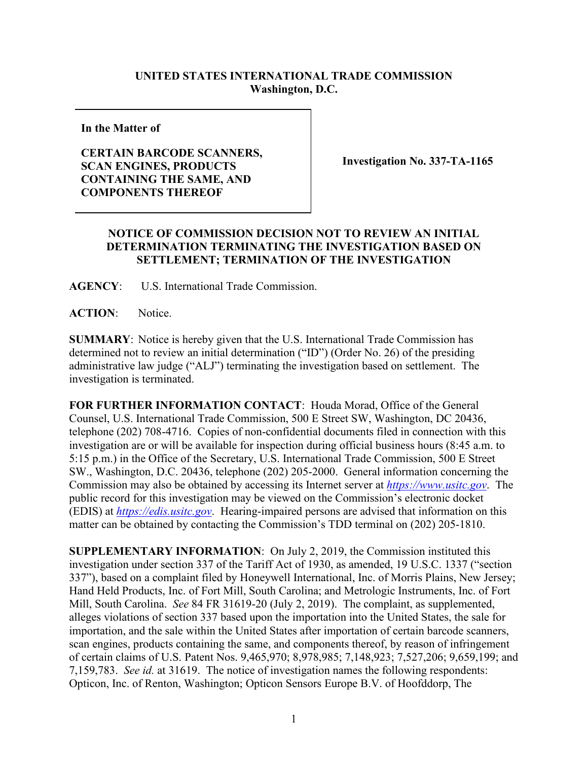## **UNITED STATES INTERNATIONAL TRADE COMMISSION Washington, D.C.**

**In the Matter of**

## **CERTAIN BARCODE SCANNERS, SCAN ENGINES, PRODUCTS CONTAINING THE SAME, AND COMPONENTS THEREOF**

**Investigation No. 337-TA-1165**

## **NOTICE OF COMMISSION DECISION NOT TO REVIEW AN INITIAL DETERMINATION TERMINATING THE INVESTIGATION BASED ON SETTLEMENT; TERMINATION OF THE INVESTIGATION**

**AGENCY**: U.S. International Trade Commission.

**ACTION**: Notice.

**SUMMARY**: Notice is hereby given that the U.S. International Trade Commission has determined not to review an initial determination ("ID") (Order No. 26) of the presiding administrative law judge ("ALJ") terminating the investigation based on settlement. The investigation is terminated.

**FOR FURTHER INFORMATION CONTACT**: Houda Morad, Office of the General Counsel, U.S. International Trade Commission, 500 E Street SW, Washington, DC 20436, telephone (202) 708-4716. Copies of non-confidential documents filed in connection with this investigation are or will be available for inspection during official business hours (8:45 a.m. to 5:15 p.m.) in the Office of the Secretary, U.S. International Trade Commission, 500 E Street SW., Washington, D.C. 20436, telephone (202) 205-2000. General information concerning the Commission may also be obtained by accessing its Internet server at *[https://www.usitc.gov](https://www.usitc.gov/)*. The public record for this investigation may be viewed on the Commission's electronic docket (EDIS) at *[https://edis.usitc.gov](http://edis.usitc.gov/)*. Hearing-impaired persons are advised that information on this matter can be obtained by contacting the Commission's TDD terminal on (202) 205-1810.

**SUPPLEMENTARY INFORMATION**: On July 2, 2019, the Commission instituted this investigation under section 337 of the Tariff Act of 1930, as amended, 19 U.S.C. 1337 ("section 337"), based on a complaint filed by Honeywell International, Inc. of Morris Plains, New Jersey; Hand Held Products, Inc. of Fort Mill, South Carolina; and Metrologic Instruments, Inc. of Fort Mill, South Carolina. *See* 84 FR 31619-20 (July 2, 2019). The complaint, as supplemented, alleges violations of section 337 based upon the importation into the United States, the sale for importation, and the sale within the United States after importation of certain barcode scanners, scan engines, products containing the same, and components thereof, by reason of infringement of certain claims of U.S. Patent Nos. 9,465,970; 8,978,985; 7,148,923; 7,527,206; 9,659,199; and 7,159,783. *See id.* at 31619. The notice of investigation names the following respondents: Opticon, Inc. of Renton, Washington; Opticon Sensors Europe B.V. of Hoofddorp, The